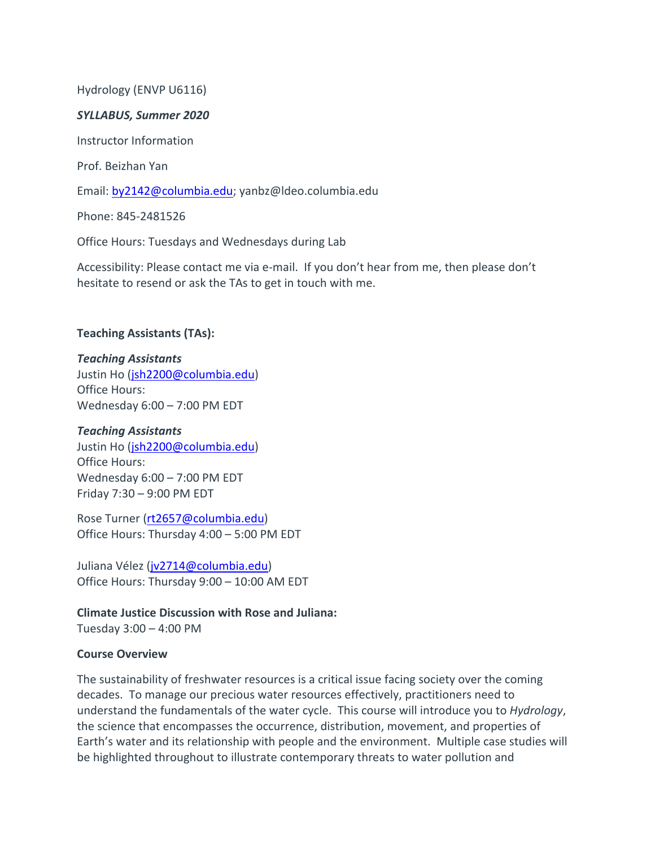## Hydrology (ENVP U6116)

### *SYLLABUS, Summer 2020*

Instructor Information

Prof. Beizhan Yan

Email: by2142@columbia.edu; yanbz@ldeo.columbia.edu

Phone: 845-2481526

Office Hours: Tuesdays and Wednesdays during Lab

Accessibility: Please contact me via e-mail. If you don't hear from me, then please don't hesitate to resend or ask the TAs to get in touch with me.

### **Teaching Assistants (TAs):**

#### *Teaching Assistants*

Justin Ho (jsh2200@columbia.edu) Office Hours: Wednesday 6:00 – 7:00 PM EDT

### *Teaching Assistants*

Justin Ho (jsh2200@columbia.edu) Office Hours: Wednesday 6:00 – 7:00 PM EDT Friday 7:30 – 9:00 PM EDT

Rose Turner (rt2657@columbia.edu) Office Hours: Thursday 4:00 – 5:00 PM EDT

Juliana Vélez (jv2714@columbia.edu) Office Hours: Thursday 9:00 – 10:00 AM EDT

**Climate Justice Discussion with Rose and Juliana:** Tuesday 3:00 – 4:00 PM

### **Course Overview**

The sustainability of freshwater resources is a critical issue facing society over the coming decades. To manage our precious water resources effectively, practitioners need to understand the fundamentals of the water cycle. This course will introduce you to *Hydrology*, the science that encompasses the occurrence, distribution, movement, and properties of Earth's water and its relationship with people and the environment. Multiple case studies will be highlighted throughout to illustrate contemporary threats to water pollution and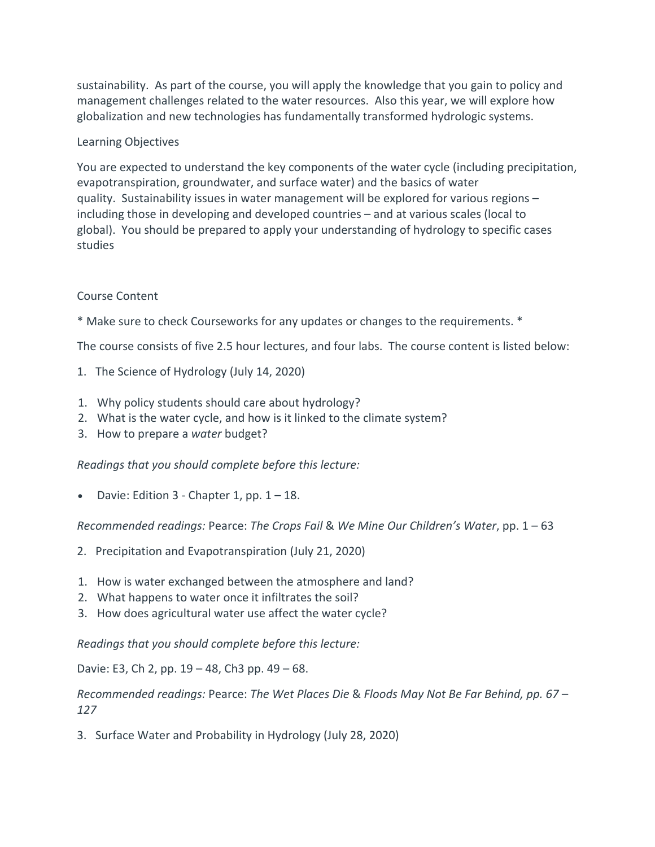sustainability. As part of the course, you will apply the knowledge that you gain to policy and management challenges related to the water resources. Also this year, we will explore how globalization and new technologies has fundamentally transformed hydrologic systems.

# Learning Objectives

You are expected to understand the key components of the water cycle (including precipitation, evapotranspiration, groundwater, and surface water) and the basics of water quality. Sustainability issues in water management will be explored for various regions – including those in developing and developed countries – and at various scales (local to global). You should be prepared to apply your understanding of hydrology to specific cases studies

# Course Content

\* Make sure to check Courseworks for any updates or changes to the requirements. \*

The course consists of five 2.5 hour lectures, and four labs. The course content is listed below:

- 1. The Science of Hydrology (July 14, 2020)
- 1. Why policy students should care about hydrology?
- 2. What is the water cycle, and how is it linked to the climate system?
- 3. How to prepare a *water* budget?

*Readings that you should complete before this lecture:*

Davie: Edition  $3$  - Chapter 1, pp.  $1 - 18$ .

*Recommended readings:* Pearce: *The Crops Fail* & *We Mine Our Children's Water*, pp. 1 – 63

- 2. Precipitation and Evapotranspiration (July 21, 2020)
- 1. How is water exchanged between the atmosphere and land?
- 2. What happens to water once it infiltrates the soil?
- 3. How does agricultural water use affect the water cycle?

*Readings that you should complete before this lecture:*

Davie: E3, Ch 2, pp. 19 – 48, Ch3 pp. 49 – 68.

*Recommended readings:* Pearce: *The Wet Places Die* & *Floods May Not Be Far Behind, pp. 67 – 127*

3. Surface Water and Probability in Hydrology (July 28, 2020)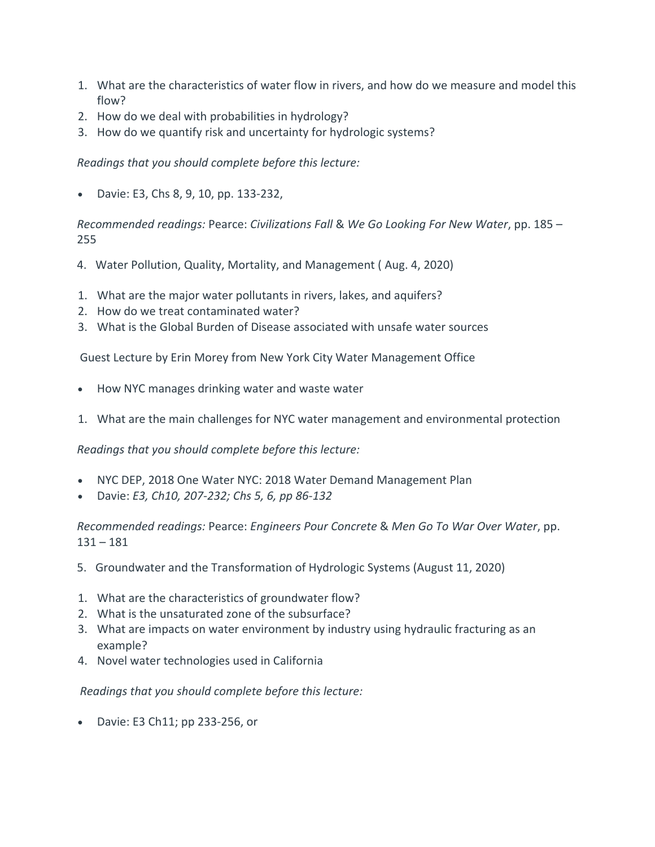- 1. What are the characteristics of water flow in rivers, and how do we measure and model this flow?
- 2. How do we deal with probabilities in hydrology?
- 3. How do we quantify risk and uncertainty for hydrologic systems?

*Readings that you should complete before this lecture:*

• Davie: E3, Chs 8, 9, 10, pp. 133-232,

*Recommended readings:* Pearce: *Civilizations Fall* & *We Go Looking For New Water*, pp. 185 – 255

- 4. Water Pollution, Quality, Mortality, and Management ( Aug. 4, 2020)
- 1. What are the major water pollutants in rivers, lakes, and aquifers?
- 2. How do we treat contaminated water?
- 3. What is the Global Burden of Disease associated with unsafe water sources

Guest Lecture by Erin Morey from New York City Water Management Office

- How NYC manages drinking water and waste water
- 1. What are the main challenges for NYC water management and environmental protection

*Readings that you should complete before this lecture:*

- NYC DEP, 2018 One Water NYC: 2018 Water Demand Management Plan
- Davie: *E3, Ch10, 207-232; Chs 5, 6, pp 86-132*

*Recommended readings:* Pearce: *Engineers Pour Concrete* & *Men Go To War Over Water*, pp.  $131 - 181$ 

- 5. Groundwater and the Transformation of Hydrologic Systems (August 11, 2020)
- 1. What are the characteristics of groundwater flow?
- 2. What is the unsaturated zone of the subsurface?
- 3. What are impacts on water environment by industry using hydraulic fracturing as an example?
- 4. Novel water technologies used in California

*Readings that you should complete before this lecture:*

• Davie: E3 Ch11; pp 233-256, or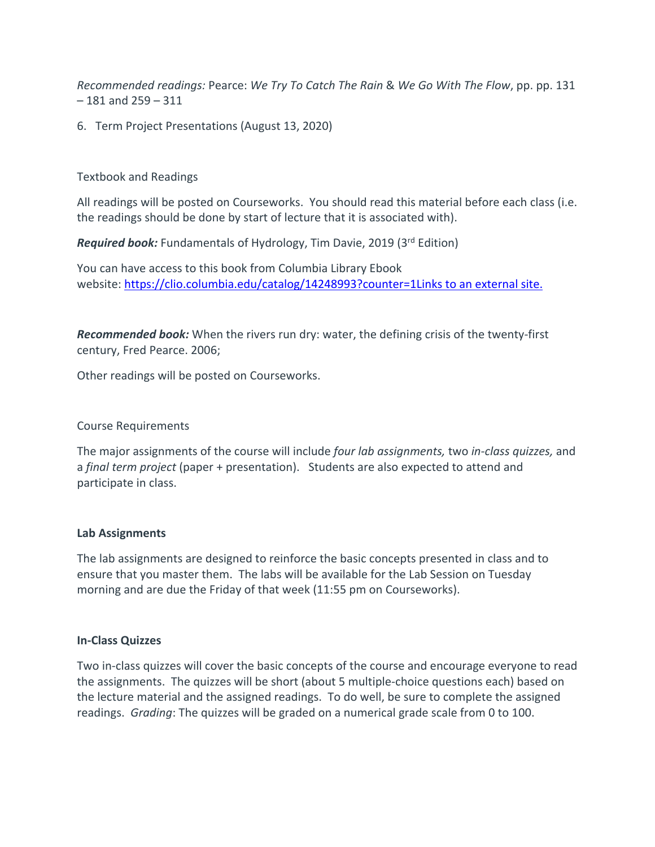*Recommended readings:* Pearce: *We Try To Catch The Rain* & *We Go With The Flow*, pp. pp. 131 – 181 and 259 – 311

6. Term Project Presentations (August 13, 2020)

## Textbook and Readings

All readings will be posted on Courseworks. You should read this material before each class (i.e. the readings should be done by start of lecture that it is associated with).

*Required book:* Fundamentals of Hydrology, Tim Davie, 2019 (3<sup>rd</sup> Edition)

You can have access to this book from Columbia Library Ebook website: https://clio.columbia.edu/catalog/14248993?counter=1Links to an external site.

*Recommended book:* When the rivers run dry: water, the defining crisis of the twenty-first century, Fred Pearce. 2006;

Other readings will be posted on Courseworks.

## Course Requirements

The major assignments of the course will include *four lab assignments,* two *in-class quizzes,* and a *final term project* (paper + presentation). Students are also expected to attend and participate in class.

## **Lab Assignments**

The lab assignments are designed to reinforce the basic concepts presented in class and to ensure that you master them. The labs will be available for the Lab Session on Tuesday morning and are due the Friday of that week (11:55 pm on Courseworks).

### **In-Class Quizzes**

Two in-class quizzes will cover the basic concepts of the course and encourage everyone to read the assignments. The quizzes will be short (about 5 multiple-choice questions each) based on the lecture material and the assigned readings. To do well, be sure to complete the assigned readings. *Grading*: The quizzes will be graded on a numerical grade scale from 0 to 100.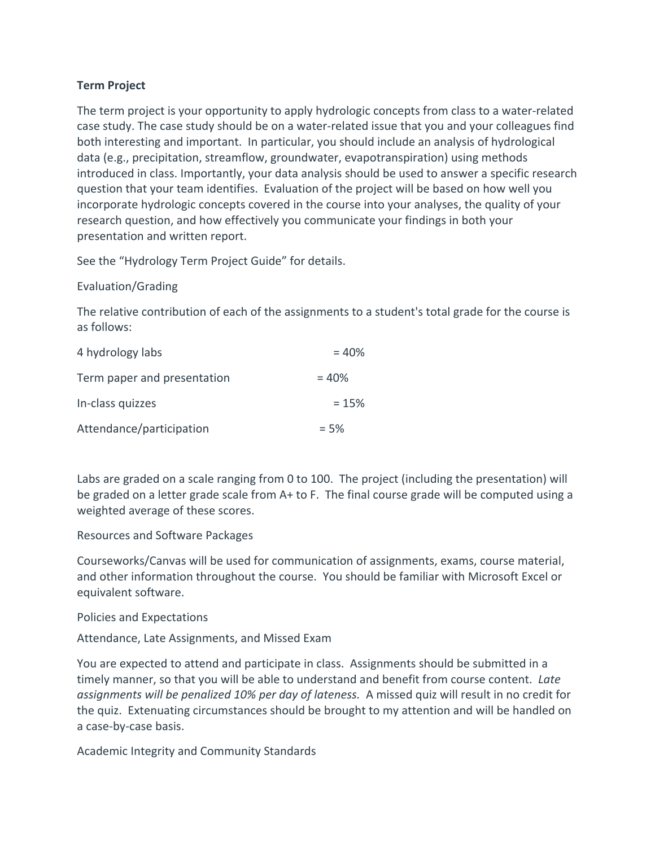# **Term Project**

The term project is your opportunity to apply hydrologic concepts from class to a water-related case study. The case study should be on a water-related issue that you and your colleagues find both interesting and important. In particular, you should include an analysis of hydrological data (e.g., precipitation, streamflow, groundwater, evapotranspiration) using methods introduced in class. Importantly, your data analysis should be used to answer a specific research question that your team identifies. Evaluation of the project will be based on how well you incorporate hydrologic concepts covered in the course into your analyses, the quality of your research question, and how effectively you communicate your findings in both your presentation and written report.

See the "Hydrology Term Project Guide" for details.

Evaluation/Grading

The relative contribution of each of the assignments to a student's total grade for the course is as follows:

| 4 hydrology labs            | $= 40%$ |
|-----------------------------|---------|
| Term paper and presentation | $= 40%$ |
| In-class quizzes            | $= 15%$ |
| Attendance/participation    | $= 5%$  |

Labs are graded on a scale ranging from 0 to 100. The project (including the presentation) will be graded on a letter grade scale from A+ to F. The final course grade will be computed using a weighted average of these scores.

Resources and Software Packages

Courseworks/Canvas will be used for communication of assignments, exams, course material, and other information throughout the course. You should be familiar with Microsoft Excel or equivalent software.

Policies and Expectations

Attendance, Late Assignments, and Missed Exam

You are expected to attend and participate in class. Assignments should be submitted in a timely manner, so that you will be able to understand and benefit from course content. *Late assignments will be penalized 10% per day of lateness.* A missed quiz will result in no credit for the quiz. Extenuating circumstances should be brought to my attention and will be handled on a case-by-case basis.

Academic Integrity and Community Standards